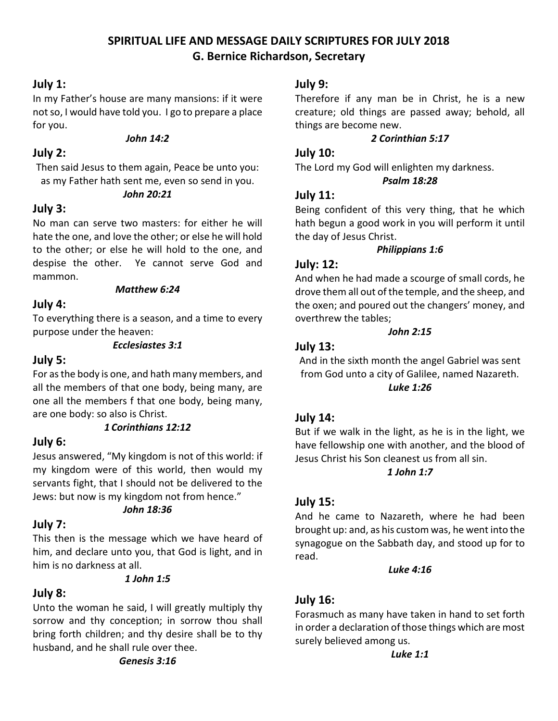# **SPIRITUAL LIFE AND MESSAGE DAILY SCRIPTURES FOR JULY 2018 G. Bernice Richardson, Secretary**

# **July 1:**

In my Father's house are many mansions: if it were not so, I would have told you. I go to prepare a place for you.

#### *John 14:2*

# **July 2:**

Then said Jesus to them again, Peace be unto you: as my Father hath sent me, even so send in you.

#### *John 20:21*

# **July 3:**

No man can serve two masters: for either he will hate the one, and love the other; or else he will hold to the other; or else he will hold to the one, and despise the other. Ye cannot serve God and mammon.

#### *Matthew 6:24*

# **July 4:**

To everything there is a season, and a time to every purpose under the heaven:

#### *Ecclesiastes 3:1*

# **July 5:**

For as the body is one, and hath many members, and all the members of that one body, being many, are one all the members f that one body, being many, are one body: so also is Christ.

# *1 Corinthians 12:12*

# **July 6:**

Jesus answered, "My kingdom is not of this world: if my kingdom were of this world, then would my servants fight, that I should not be delivered to the Jews: but now is my kingdom not from hence."

# *John 18:36*

# **July 7:**

This then is the message which we have heard of him, and declare unto you, that God is light, and in him is no darkness at all.

#### *1 John 1:5*

# **July 8:**

Unto the woman he said, I will greatly multiply thy sorrow and thy conception; in sorrow thou shall bring forth children; and thy desire shall be to thy husband, and he shall rule over thee.

### **July 9:**

Therefore if any man be in Christ, he is a new creature; old things are passed away; behold, all things are become new.

#### *2 Corinthian 5:17*

#### **July 10:**

The Lord my God will enlighten my darkness.

#### *Psalm 18:28*

#### **July 11:**

Being confident of this very thing, that he which hath begun a good work in you will perform it until the day of Jesus Christ.

#### *Philippians 1:6*

# **July: 12:**

And when he had made a scourge of small cords, he drove them all out of the temple, and the sheep, and the oxen; and poured out the changers' money, and overthrew the tables;

#### *John 2:15*

#### **July 13:**

And in the sixth month the angel Gabriel was sent from God unto a city of Galilee, named Nazareth. *Luke 1:26*

# **July 14:**

But if we walk in the light, as he is in the light, we have fellowship one with another, and the blood of Jesus Christ his Son cleanest us from all sin.

#### *1 John 1:7*

# **July 15:**

And he came to Nazareth, where he had been brought up: and, as his custom was, he went into the synagogue on the Sabbath day, and stood up for to read.

*Luke 4:16*

# **July 16:**

Forasmuch as many have taken in hand to set forth in order a declaration of those things which are most surely believed among us.

*Luke 1:1*